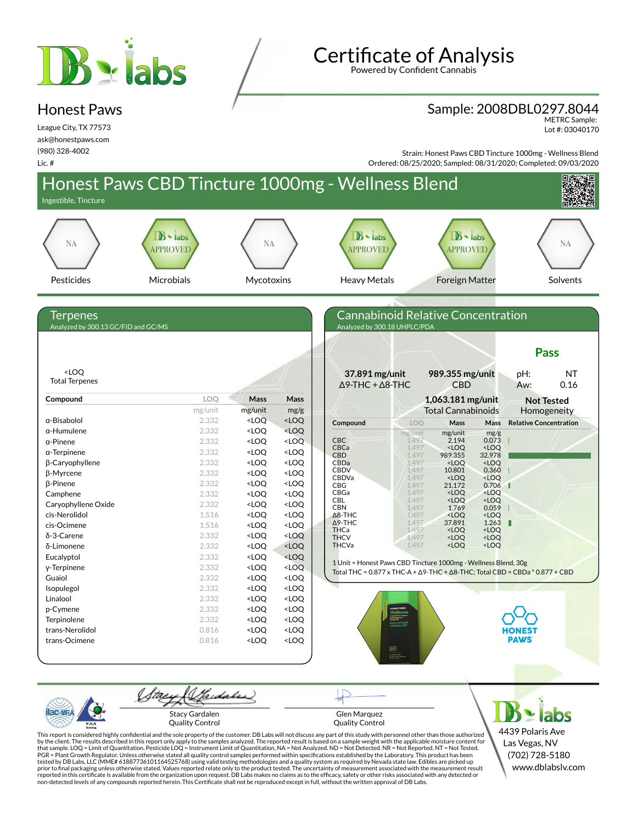# B viabs

## **Certificate of Analysis**

Powered by Confident Cannabis

#### Sample: 2008DBL0297.8044

METRC Sample: Lot #: 03040170

League City, TX 77573 ask@honestpaws.com (980) 328-4002 Lic. #

Honest Paws

Strain: Honest Paws CBD Tincture 1000mg - Wellness Blend Ordered: 08/25/2020; Sampled: 08/31/2020; Completed: 09/03/2020



This report is considered highly confidential and the sole property of the customer. DB Labs will not discuss any part of this study with personnel other than those authorized<br>by the client. The results described in this r tested by DB Labs, LLC (MME# 61887736101164525768) using valid testing methodologies and a quality system as required by Nevada state law. Edibles are picked up<br>prior to final packaging unless otherwise stated. Values repo

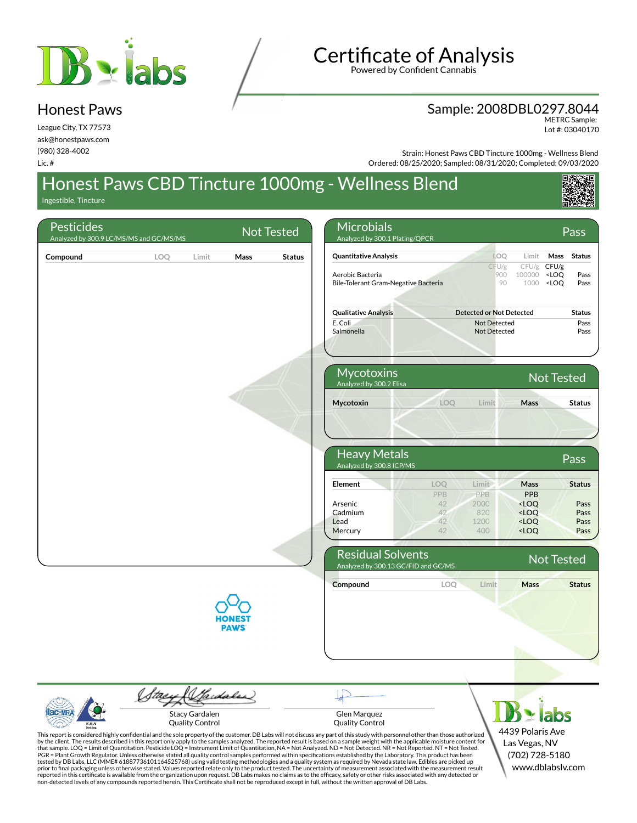

## **Certificate of Analysis**

Powered by Confident Cannabis

#### Sample: 2008DBL0297.8044 METRC Sample:

Lot #: 03040170

League City, TX 77573 ask@honestpaws.com (980) 328-4002 Lic. #

Honest Paws

Strain: Honest Paws CBD Tincture 1000mg - Wellness Blend Ordered: 08/25/2020; Sampled: 08/31/2020; Completed: 09/03/2020

### Honest Paws CBD Tincture 1000mg - Wellness Blend

Ingestible, Tincture

| <b>Pesticides</b> | Analyzed by 300.9 LC/MS/MS and GC/MS/MS |                                                 | <b>Not Tested</b> | <b>Microbials</b><br>Analyzed by 300.1 Plating/QPCR                                                                                                                                                                                                                                                                                                                                                                                                                                                                                                                                                                                                                                                                                                                                                                                                                                                                                                                                                                                                                                                                                                                                                                                                                                                                                                                                                                    |                                                    | Pass                                                                                                        |
|-------------------|-----------------------------------------|-------------------------------------------------|-------------------|------------------------------------------------------------------------------------------------------------------------------------------------------------------------------------------------------------------------------------------------------------------------------------------------------------------------------------------------------------------------------------------------------------------------------------------------------------------------------------------------------------------------------------------------------------------------------------------------------------------------------------------------------------------------------------------------------------------------------------------------------------------------------------------------------------------------------------------------------------------------------------------------------------------------------------------------------------------------------------------------------------------------------------------------------------------------------------------------------------------------------------------------------------------------------------------------------------------------------------------------------------------------------------------------------------------------------------------------------------------------------------------------------------------------|----------------------------------------------------|-------------------------------------------------------------------------------------------------------------|
| Compound          | LOQ                                     | Mass<br>Limit                                   | Status            | <b>Quantitative Analysis</b>                                                                                                                                                                                                                                                                                                                                                                                                                                                                                                                                                                                                                                                                                                                                                                                                                                                                                                                                                                                                                                                                                                                                                                                                                                                                                                                                                                                           | LOQ                                                | Mass<br><b>Status</b><br>Limit                                                                              |
|                   |                                         |                                                 |                   | Aerobic Bacteria<br>Bile-Tolerant Gram-Negative Bacteria                                                                                                                                                                                                                                                                                                                                                                                                                                                                                                                                                                                                                                                                                                                                                                                                                                                                                                                                                                                                                                                                                                                                                                                                                                                                                                                                                               | CFU/g<br>900<br>100000<br>90                       | CFU/g<br>CFU/g<br><loq<br>Pass<br/>1000<br/><loq<br>Pass</loq<br></loq<br>                                  |
|                   |                                         |                                                 |                   | <b>Qualitative Analysis</b>                                                                                                                                                                                                                                                                                                                                                                                                                                                                                                                                                                                                                                                                                                                                                                                                                                                                                                                                                                                                                                                                                                                                                                                                                                                                                                                                                                                            | <b>Detected or Not Detected</b>                    | <b>Status</b>                                                                                               |
|                   |                                         |                                                 |                   | E. Coli<br>Salmonella                                                                                                                                                                                                                                                                                                                                                                                                                                                                                                                                                                                                                                                                                                                                                                                                                                                                                                                                                                                                                                                                                                                                                                                                                                                                                                                                                                                                  | Not Detected<br>Not Detected                       | Pass<br>Pass                                                                                                |
|                   |                                         |                                                 |                   | Mycotoxins<br>Analyzed by 300.2 Elisa                                                                                                                                                                                                                                                                                                                                                                                                                                                                                                                                                                                                                                                                                                                                                                                                                                                                                                                                                                                                                                                                                                                                                                                                                                                                                                                                                                                  |                                                    | <b>Not Tested</b>                                                                                           |
|                   |                                         |                                                 |                   | Mycotoxin                                                                                                                                                                                                                                                                                                                                                                                                                                                                                                                                                                                                                                                                                                                                                                                                                                                                                                                                                                                                                                                                                                                                                                                                                                                                                                                                                                                                              | LOQ<br>Limit                                       | Mass<br><b>Status</b>                                                                                       |
|                   |                                         |                                                 |                   | <b>Heavy Metals</b><br>Analyzed by 300.8 ICP/MS                                                                                                                                                                                                                                                                                                                                                                                                                                                                                                                                                                                                                                                                                                                                                                                                                                                                                                                                                                                                                                                                                                                                                                                                                                                                                                                                                                        |                                                    | Pass                                                                                                        |
|                   |                                         |                                                 |                   | <b>Element</b>                                                                                                                                                                                                                                                                                                                                                                                                                                                                                                                                                                                                                                                                                                                                                                                                                                                                                                                                                                                                                                                                                                                                                                                                                                                                                                                                                                                                         | LOQ<br>Limit<br><b>PPB</b><br>PPB                  | Mass<br><b>Status</b><br>PPB                                                                                |
|                   |                                         |                                                 |                   | Arsenic<br>Cadmium<br>Lead<br>Mercury                                                                                                                                                                                                                                                                                                                                                                                                                                                                                                                                                                                                                                                                                                                                                                                                                                                                                                                                                                                                                                                                                                                                                                                                                                                                                                                                                                                  | 42<br>2000<br>42<br>820<br>42<br>1200<br>42<br>400 | <loq<br>Pass<br/><loq<br>Pass<br/><math>&lt;</math>LOQ<br/>Pass<br/><loq<br>Pass</loq<br></loq<br></loq<br> |
|                   |                                         |                                                 |                   | <b>Residual Solvents</b><br>Analyzed by 300.13 GC/FID and GC/MS                                                                                                                                                                                                                                                                                                                                                                                                                                                                                                                                                                                                                                                                                                                                                                                                                                                                                                                                                                                                                                                                                                                                                                                                                                                                                                                                                        |                                                    | <b>Not Tested</b>                                                                                           |
|                   |                                         |                                                 |                   | Compound                                                                                                                                                                                                                                                                                                                                                                                                                                                                                                                                                                                                                                                                                                                                                                                                                                                                                                                                                                                                                                                                                                                                                                                                                                                                                                                                                                                                               | LOQ<br>Limit                                       | <b>Mass</b><br><b>Status</b>                                                                                |
|                   |                                         | <b>PAWS</b>                                     |                   |                                                                                                                                                                                                                                                                                                                                                                                                                                                                                                                                                                                                                                                                                                                                                                                                                                                                                                                                                                                                                                                                                                                                                                                                                                                                                                                                                                                                                        |                                                    |                                                                                                             |
|                   |                                         |                                                 |                   |                                                                                                                                                                                                                                                                                                                                                                                                                                                                                                                                                                                                                                                                                                                                                                                                                                                                                                                                                                                                                                                                                                                                                                                                                                                                                                                                                                                                                        |                                                    |                                                                                                             |
| PJLA              |                                         | <b>Stacy Gardalen</b><br><b>Quality Control</b> |                   | Glen Marquez<br><b>Quality Control</b>                                                                                                                                                                                                                                                                                                                                                                                                                                                                                                                                                                                                                                                                                                                                                                                                                                                                                                                                                                                                                                                                                                                                                                                                                                                                                                                                                                                 |                                                    | labs                                                                                                        |
|                   |                                         |                                                 |                   | This report is considered highly confidential and the sole property of the customer. DB Labs will not discuss any part of this study with personnel other than those authorized<br>by the client. The results described in this report only apply to the samples analyzed. The reported result is based on a sample weight with the applicable moisture content for<br>that sample. LOQ = Limit of Quantitation. Pesticide LOQ = Instrument Limit of Quantitation, NA = Not Analyzed. ND = Not Detected. NR = Not Reported. NT = Not Tested.<br>PGR = Plant Growth Regulator. Unless otherwise stated all quality control samples performed within specifications established by the Laboratory. This product has been<br>tested by DB Labs, LLC (MME# 61887736101164525768) using valid testing methodologies and a quality system as required by Nevada state law. Edibles are picked up<br>prior to final packaging unless otherwise stated. Values reported relate only to the product tested. The uncertainty of measurement associated with the measurement result<br>reported in this certificate is available from the organization upon request. DB Labs makes no claims as to the efficacy, safety or other risks associated with any detected or<br>non-detected levels of any compounds reported herein. This Certificate shall not be reproduced except in full, without the written approval of DB Labs. |                                                    | 4439 Polaris Ave<br>Las Vegas, NV<br>(702) 728-5180<br>www.dblabslv.com                                     |